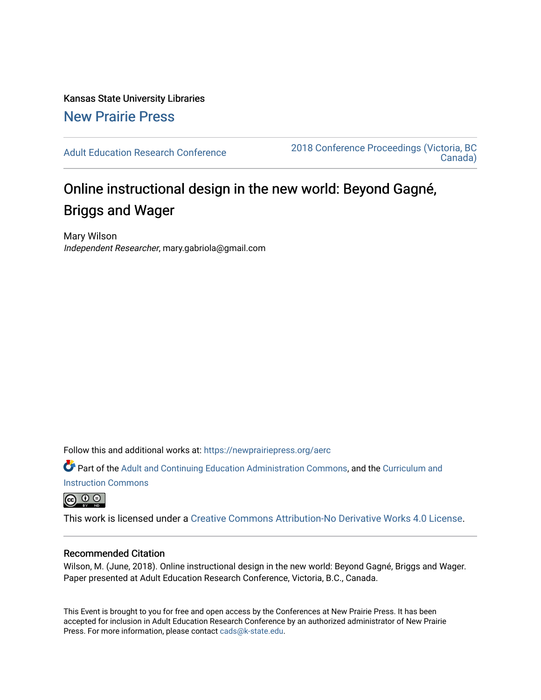Kansas State University Libraries [New Prairie Press](https://newprairiepress.org/) 

[Adult Education Research Conference](https://newprairiepress.org/aerc) [2018 Conference Proceedings \(Victoria, BC](https://newprairiepress.org/aerc/2018)  [Canada\)](https://newprairiepress.org/aerc/2018) 

# Online instructional design in the new world: Beyond Gagné, Briggs and Wager

Mary Wilson Independent Researcher, mary.gabriola@gmail.com

Follow this and additional works at: [https://newprairiepress.org/aerc](https://newprairiepress.org/aerc?utm_source=newprairiepress.org%2Faerc%2F2018%2Fpapers%2F1&utm_medium=PDF&utm_campaign=PDFCoverPages)

Part of the [Adult and Continuing Education Administration Commons](http://network.bepress.com/hgg/discipline/789?utm_source=newprairiepress.org%2Faerc%2F2018%2Fpapers%2F1&utm_medium=PDF&utm_campaign=PDFCoverPages), and the [Curriculum and](http://network.bepress.com/hgg/discipline/786?utm_source=newprairiepress.org%2Faerc%2F2018%2Fpapers%2F1&utm_medium=PDF&utm_campaign=PDFCoverPages) [Instruction Commons](http://network.bepress.com/hgg/discipline/786?utm_source=newprairiepress.org%2Faerc%2F2018%2Fpapers%2F1&utm_medium=PDF&utm_campaign=PDFCoverPages)

 $\circledcirc$ 

This work is licensed under a [Creative Commons Attribution-No Derivative Works 4.0 License.](https://creativecommons.org/licenses/by-nd/4.0/)

### Recommended Citation

Wilson, M. (June, 2018). Online instructional design in the new world: Beyond Gagné, Briggs and Wager. Paper presented at Adult Education Research Conference, Victoria, B.C., Canada.

This Event is brought to you for free and open access by the Conferences at New Prairie Press. It has been accepted for inclusion in Adult Education Research Conference by an authorized administrator of New Prairie Press. For more information, please contact [cads@k-state.edu.](mailto:cads@k-state.edu)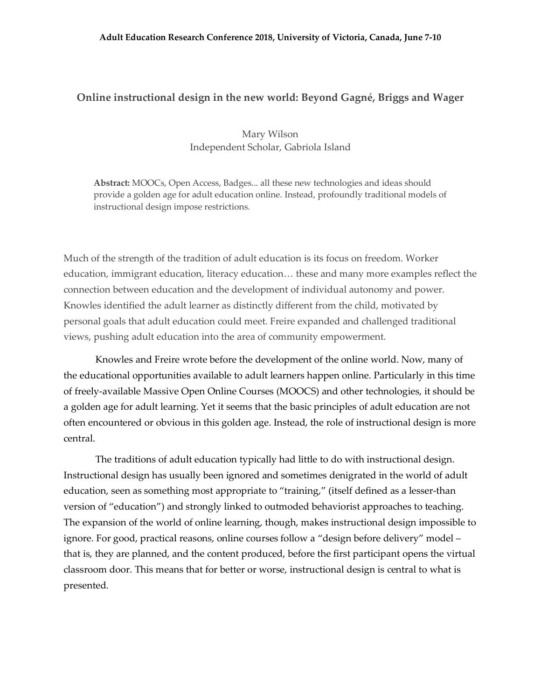#### **Adult Education Research Conference 2018, University of Victoria, Canada, June 7-10**

## **Online instructional design in the new world: Beyond Gagné, Briggs and Wager**

# Mary Wilson Independent Scholar, Gabriola Island

**Abstract:** MOOCs, Open Access, Badges... all these new technologies and ideas should provide a golden age for adult education online. Instead, profoundly traditional models of instructional design impose restrictions.

Much of the strength of the tradition of adult education is its focus on freedom. Worker education, immigrant education, literacy education… these and many more examples reflect the connection between education and the development of individual autonomy and power. Knowles identified the adult learner as distinctly different from the child, motivated by personal goals that adult education could meet. Freire expanded and challenged traditional views, pushing adult education into the area of community empowerment.

Knowles and Freire wrote before the development of the online world. Now, many of the educational opportunities available to adult learners happen online. Particularly in this time of freely-available Massive Open Online Courses (MOOCS) and other technologies, it should be a golden age for adult learning. Yet it seems that the basic principles of adult education are not often encountered or obvious in this golden age. Instead, the role of instructional design is more central.

The traditions of adult education typically had little to do with instructional design. Instructional design has usually been ignored and sometimes denigrated in the world of adult education, seen as something most appropriate to "training," (itself defined as a lesser-than version of "education") and strongly linked to outmoded behaviorist approaches to teaching. The expansion of the world of online learning, though, makes instructional design impossible to ignore. For good, practical reasons, online courses follow a "design before delivery" model – that is, they are planned, and the content produced, before the first participant opens the virtual classroom door. This means that for better or worse, instructional design is central to what is presented.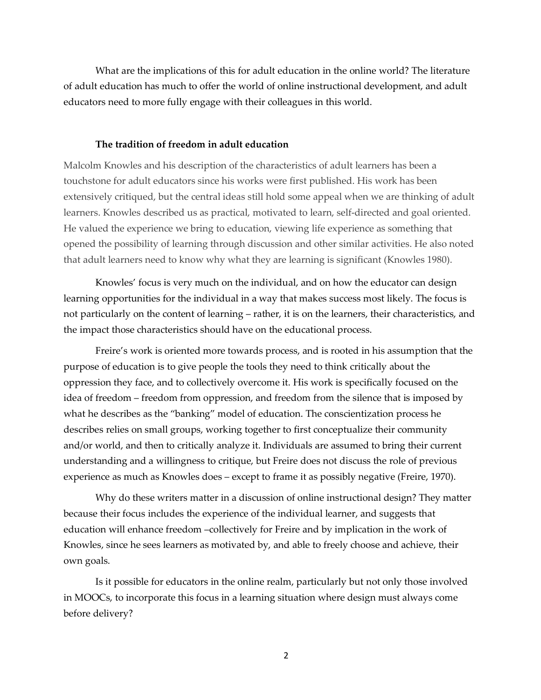What are the implications of this for adult education in the online world? The literature of adult education has much to offer the world of online instructional development, and adult educators need to more fully engage with their colleagues in this world.

#### **The tradition of freedom in adult education**

Malcolm Knowles and his description of the characteristics of adult learners has been a touchstone for adult educators since his works were first published. His work has been extensively critiqued, but the central ideas still hold some appeal when we are thinking of adult learners. Knowles described us as practical, motivated to learn, self-directed and goal oriented. He valued the experience we bring to education, viewing life experience as something that opened the possibility of learning through discussion and other similar activities. He also noted that adult learners need to know why what they are learning is significant (Knowles 1980).

Knowles' focus is very much on the individual, and on how the educator can design learning opportunities for the individual in a way that makes success most likely. The focus is not particularly on the content of learning – rather, it is on the learners, their characteristics, and the impact those characteristics should have on the educational process.

Freire's work is oriented more towards process, and is rooted in his assumption that the purpose of education is to give people the tools they need to think critically about the oppression they face, and to collectively overcome it. His work is specifically focused on the idea of freedom – freedom from oppression, and freedom from the silence that is imposed by what he describes as the "banking" model of education. The conscientization process he describes relies on small groups, working together to first conceptualize their community and/or world, and then to critically analyze it. Individuals are assumed to bring their current understanding and a willingness to critique, but Freire does not discuss the role of previous experience as much as Knowles does – except to frame it as possibly negative (Freire, 1970).

Why do these writers matter in a discussion of online instructional design? They matter because their focus includes the experience of the individual learner, and suggests that education will enhance freedom –collectively for Freire and by implication in the work of Knowles, since he sees learners as motivated by, and able to freely choose and achieve, their own goals.

Is it possible for educators in the online realm, particularly but not only those involved in MOOCs, to incorporate this focus in a learning situation where design must always come before delivery?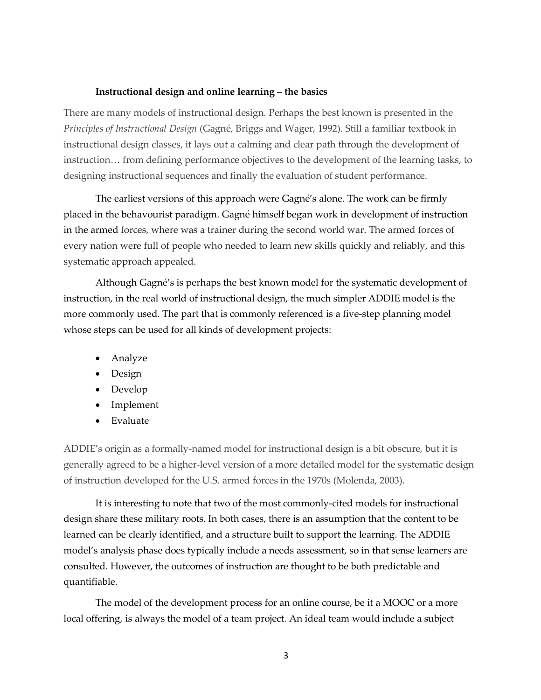#### **Instructional design and online learning – the basics**

There are many models of instructional design. Perhaps the best known is presented in the *Principles of Instructional Design* (Gagné, Briggs and Wager, 1992). Still a familiar textbook in instructional design classes, it lays out a calming and clear path through the development of instruction… from defining performance objectives to the development of the learning tasks, to designing instructional sequences and finally the evaluation of student performance.

The earliest versions of this approach were Gagné's alone. The work can be firmly placed in the behavourist paradigm. Gagné himself began work in development of instruction in the armed forces, where was a trainer during the second world war. The armed forces of every nation were full of people who needed to learn new skills quickly and reliably, and this systematic approach appealed.

Although Gagné's is perhaps the best known model for the systematic development of instruction, in the real world of instructional design, the much simpler ADDIE model is the more commonly used. The part that is commonly referenced is a five-step planning model whose steps can be used for all kinds of development projects:

- Analyze
- Design
- Develop
- Implement
- Evaluate

ADDIE's origin as a formally-named model for instructional design is a bit obscure, but it is generally agreed to be a higher-level version of a more detailed model for the systematic design of instruction developed for the U.S. armed forces in the 1970s (Molenda, 2003).

It is interesting to note that two of the most commonly-cited models for instructional design share these military roots. In both cases, there is an assumption that the content to be learned can be clearly identified, and a structure built to support the learning. The ADDIE model's analysis phase does typically include a needs assessment, so in that sense learners are consulted. However, the outcomes of instruction are thought to be both predictable and quantifiable.

The model of the development process for an online course, be it a MOOC or a more local offering, is always the model of a team project. An ideal team would include a subject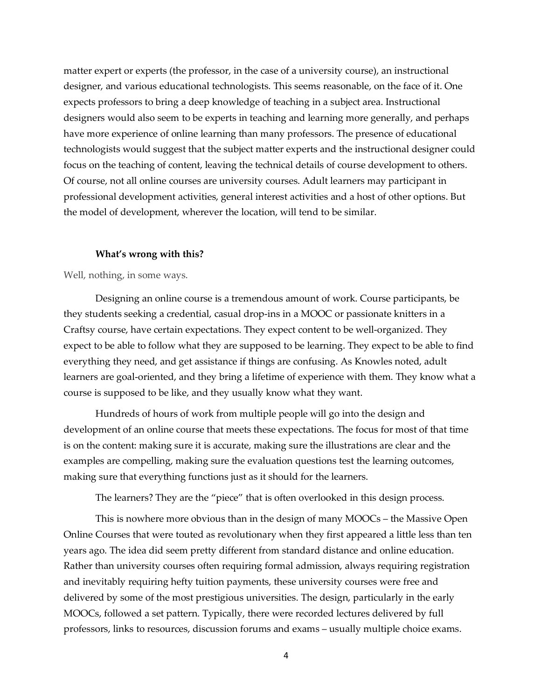matter expert or experts (the professor, in the case of a university course), an instructional designer, and various educational technologists. This seems reasonable, on the face of it. One expects professors to bring a deep knowledge of teaching in a subject area. Instructional designers would also seem to be experts in teaching and learning more generally, and perhaps have more experience of online learning than many professors. The presence of educational technologists would suggest that the subject matter experts and the instructional designer could focus on the teaching of content, leaving the technical details of course development to others. Of course, not all online courses are university courses. Adult learners may participant in professional development activities, general interest activities and a host of other options. But the model of development, wherever the location, will tend to be similar.

#### **What's wrong with this?**

Well, nothing, in some ways.

Designing an online course is a tremendous amount of work. Course participants, be they students seeking a credential, casual drop-ins in a MOOC or passionate knitters in a Craftsy course, have certain expectations. They expect content to be well-organized. They expect to be able to follow what they are supposed to be learning. They expect to be able to find everything they need, and get assistance if things are confusing. As Knowles noted, adult learners are goal-oriented, and they bring a lifetime of experience with them. They know what a course is supposed to be like, and they usually know what they want.

Hundreds of hours of work from multiple people will go into the design and development of an online course that meets these expectations. The focus for most of that time is on the content: making sure it is accurate, making sure the illustrations are clear and the examples are compelling, making sure the evaluation questions test the learning outcomes, making sure that everything functions just as it should for the learners.

The learners? They are the "piece" that is often overlooked in this design process.

This is nowhere more obvious than in the design of many MOOCs – the Massive Open Online Courses that were touted as revolutionary when they first appeared a little less than ten years ago. The idea did seem pretty different from standard distance and online education. Rather than university courses often requiring formal admission, always requiring registration and inevitably requiring hefty tuition payments, these university courses were free and delivered by some of the most prestigious universities. The design, particularly in the early MOOCs, followed a set pattern. Typically, there were recorded lectures delivered by full professors, links to resources, discussion forums and exams – usually multiple choice exams.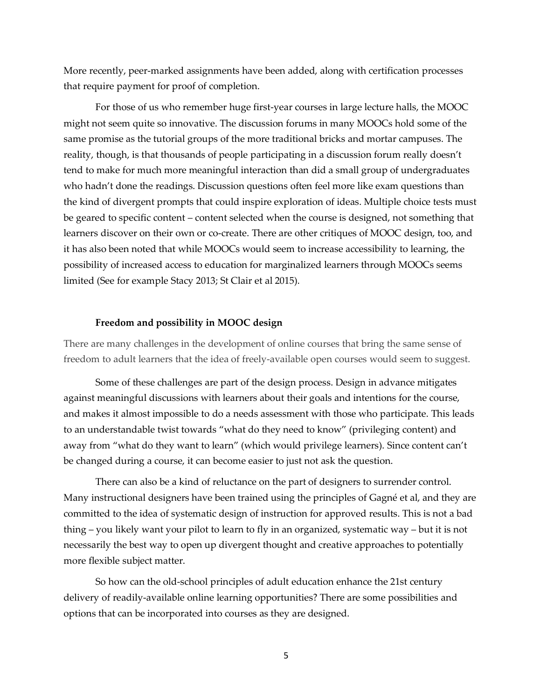More recently, peer-marked assignments have been added, along with certification processes that require payment for proof of completion.

For those of us who remember huge first-year courses in large lecture halls, the MOOC might not seem quite so innovative. The discussion forums in many MOOCs hold some of the same promise as the tutorial groups of the more traditional bricks and mortar campuses. The reality, though, is that thousands of people participating in a discussion forum really doesn't tend to make for much more meaningful interaction than did a small group of undergraduates who hadn't done the readings. Discussion questions often feel more like exam questions than the kind of divergent prompts that could inspire exploration of ideas. Multiple choice tests must be geared to specific content – content selected when the course is designed, not something that learners discover on their own or co-create. There are other critiques of MOOC design, too, and it has also been noted that while MOOCs would seem to increase accessibility to learning, the possibility of increased access to education for marginalized learners through MOOCs seems limited (See for example Stacy 2013; St Clair et al 2015).

#### **Freedom and possibility in MOOC design**

There are many challenges in the development of online courses that bring the same sense of freedom to adult learners that the idea of freely-available open courses would seem to suggest.

Some of these challenges are part of the design process. Design in advance mitigates against meaningful discussions with learners about their goals and intentions for the course, and makes it almost impossible to do a needs assessment with those who participate. This leads to an understandable twist towards "what do they need to know" (privileging content) and away from "what do they want to learn" (which would privilege learners). Since content can't be changed during a course, it can become easier to just not ask the question.

There can also be a kind of reluctance on the part of designers to surrender control. Many instructional designers have been trained using the principles of Gagné et al, and they are committed to the idea of systematic design of instruction for approved results. This is not a bad thing – you likely want your pilot to learn to fly in an organized, systematic way – but it is not necessarily the best way to open up divergent thought and creative approaches to potentially more flexible subject matter.

So how can the old-school principles of adult education enhance the 21st century delivery of readily-available online learning opportunities? There are some possibilities and options that can be incorporated into courses as they are designed.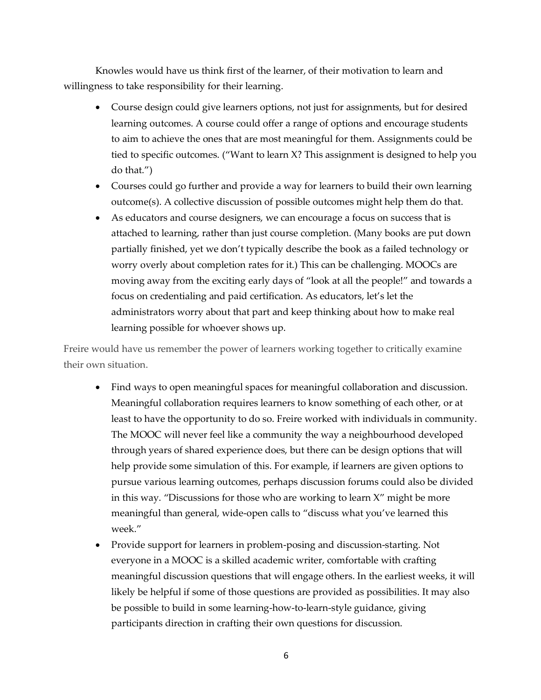Knowles would have us think first of the learner, of their motivation to learn and willingness to take responsibility for their learning.

- Course design could give learners options, not just for assignments, but for desired learning outcomes. A course could offer a range of options and encourage students to aim to achieve the ones that are most meaningful for them. Assignments could be tied to specific outcomes. ("Want to learn X? This assignment is designed to help you do that.")
- Courses could go further and provide a way for learners to build their own learning outcome(s). A collective discussion of possible outcomes might help them do that.
- As educators and course designers, we can encourage a focus on success that is attached to learning, rather than just course completion. (Many books are put down partially finished, yet we don't typically describe the book as a failed technology or worry overly about completion rates for it.) This can be challenging. MOOCs are moving away from the exciting early days of "look at all the people!" and towards a focus on credentialing and paid certification. As educators, let's let the administrators worry about that part and keep thinking about how to make real learning possible for whoever shows up.

Freire would have us remember the power of learners working together to critically examine their own situation.

- Find ways to open meaningful spaces for meaningful collaboration and discussion. Meaningful collaboration requires learners to know something of each other, or at least to have the opportunity to do so. Freire worked with individuals in community. The MOOC will never feel like a community the way a neighbourhood developed through years of shared experience does, but there can be design options that will help provide some simulation of this. For example, if learners are given options to pursue various learning outcomes, perhaps discussion forums could also be divided in this way. "Discussions for those who are working to learn X" might be more meaningful than general, wide-open calls to "discuss what you've learned this week."
- Provide support for learners in problem-posing and discussion-starting. Not everyone in a MOOC is a skilled academic writer, comfortable with crafting meaningful discussion questions that will engage others. In the earliest weeks, it will likely be helpful if some of those questions are provided as possibilities. It may also be possible to build in some learning-how-to-learn-style guidance, giving participants direction in crafting their own questions for discussion.